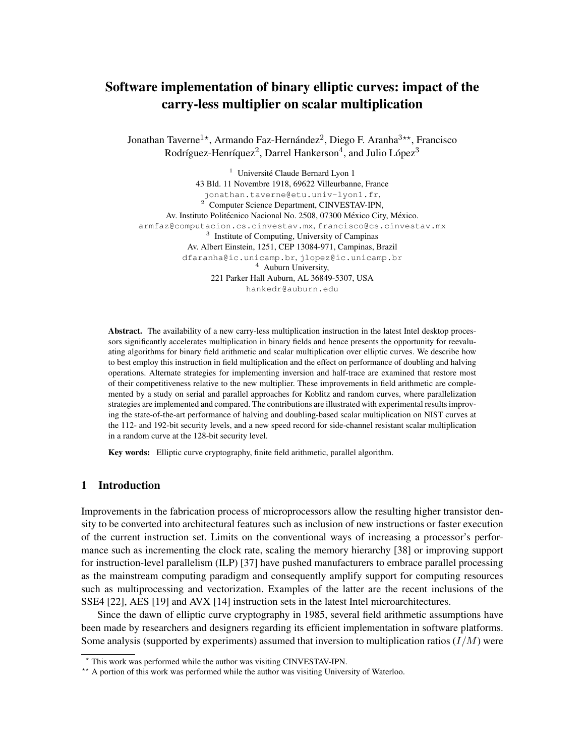# Software implementation of binary elliptic curves: impact of the carry-less multiplier on scalar multiplication

Jonathan Taverne<sup>1\*</sup>, Armando Faz-Hernández<sup>2</sup>, Diego F. Aranha<sup>3\*\*</sup>, Francisco Rodríguez-Henríquez<sup>2</sup>, Darrel Hankerson<sup>4</sup>, and Julio López<sup>3</sup>

 $1$  Université Claude Bernard Lyon 1 43 Bld. 11 Novembre 1918, 69622 Villeurbanne, France jonathan.taverne@etu.univ-lyon1.fr, <sup>2</sup> Computer Science Department, CINVESTAV-IPN, Av. Instituto Politécnico Nacional No. 2508, 07300 México City, México. armfaz@computacion.cs.cinvestav.mx, francisco@cs.cinvestav.mx <sup>3</sup> Institute of Computing, University of Campinas Av. Albert Einstein, 1251, CEP 13084-971, Campinas, Brazil dfaranha@ic.unicamp.br, jlopez@ic.unicamp.br <sup>4</sup> Auburn University, 221 Parker Hall Auburn, AL 36849-5307, USA hankedr@auburn.edu

Abstract. The availability of a new carry-less multiplication instruction in the latest Intel desktop processors significantly accelerates multiplication in binary fields and hence presents the opportunity for reevaluating algorithms for binary field arithmetic and scalar multiplication over elliptic curves. We describe how to best employ this instruction in field multiplication and the effect on performance of doubling and halving operations. Alternate strategies for implementing inversion and half-trace are examined that restore most of their competitiveness relative to the new multiplier. These improvements in field arithmetic are complemented by a study on serial and parallel approaches for Koblitz and random curves, where parallelization strategies are implemented and compared. The contributions are illustrated with experimental results improving the state-of-the-art performance of halving and doubling-based scalar multiplication on NIST curves at the 112- and 192-bit security levels, and a new speed record for side-channel resistant scalar multiplication in a random curve at the 128-bit security level.

Key words: Elliptic curve cryptography, finite field arithmetic, parallel algorithm.

# 1 Introduction

Improvements in the fabrication process of microprocessors allow the resulting higher transistor density to be converted into architectural features such as inclusion of new instructions or faster execution of the current instruction set. Limits on the conventional ways of increasing a processor's performance such as incrementing the clock rate, scaling the memory hierarchy [38] or improving support for instruction-level parallelism (ILP) [37] have pushed manufacturers to embrace parallel processing as the mainstream computing paradigm and consequently amplify support for computing resources such as multiprocessing and vectorization. Examples of the latter are the recent inclusions of the SSE4 [22], AES [19] and AVX [14] instruction sets in the latest Intel microarchitectures.

Since the dawn of elliptic curve cryptography in 1985, several field arithmetic assumptions have been made by researchers and designers regarding its efficient implementation in software platforms. Some analysis (supported by experiments) assumed that inversion to multiplication ratios  $(I/M)$  were

<sup>?</sup> This work was performed while the author was visiting CINVESTAV-IPN.

<sup>\*\*</sup> A portion of this work was performed while the author was visiting University of Waterloo.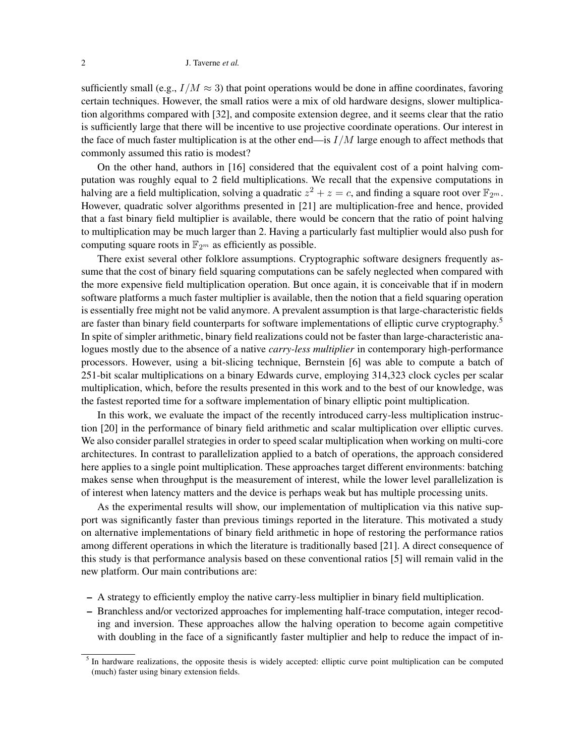sufficiently small (e.g.,  $I/M \approx 3$ ) that point operations would be done in affine coordinates, favoring certain techniques. However, the small ratios were a mix of old hardware designs, slower multiplication algorithms compared with [32], and composite extension degree, and it seems clear that the ratio is sufficiently large that there will be incentive to use projective coordinate operations. Our interest in the face of much faster multiplication is at the other end—is  $I/M$  large enough to affect methods that commonly assumed this ratio is modest?

On the other hand, authors in [16] considered that the equivalent cost of a point halving computation was roughly equal to 2 field multiplications. We recall that the expensive computations in halving are a field multiplication, solving a quadratic  $z^2 + z = c$ , and finding a square root over  $\mathbb{F}_{2^m}$ . However, quadratic solver algorithms presented in [21] are multiplication-free and hence, provided that a fast binary field multiplier is available, there would be concern that the ratio of point halving to multiplication may be much larger than 2. Having a particularly fast multiplier would also push for computing square roots in  $\mathbb{F}_{2^m}$  as efficiently as possible.

There exist several other folklore assumptions. Cryptographic software designers frequently assume that the cost of binary field squaring computations can be safely neglected when compared with the more expensive field multiplication operation. But once again, it is conceivable that if in modern software platforms a much faster multiplier is available, then the notion that a field squaring operation is essentially free might not be valid anymore. A prevalent assumption is that large-characteristic fields are faster than binary field counterparts for software implementations of elliptic curve cryptography.<sup>5</sup> In spite of simpler arithmetic, binary field realizations could not be faster than large-characteristic analogues mostly due to the absence of a native *carry-less multiplier* in contemporary high-performance processors. However, using a bit-slicing technique, Bernstein [6] was able to compute a batch of 251-bit scalar multiplications on a binary Edwards curve, employing 314,323 clock cycles per scalar multiplication, which, before the results presented in this work and to the best of our knowledge, was the fastest reported time for a software implementation of binary elliptic point multiplication.

In this work, we evaluate the impact of the recently introduced carry-less multiplication instruction [20] in the performance of binary field arithmetic and scalar multiplication over elliptic curves. We also consider parallel strategies in order to speed scalar multiplication when working on multi-core architectures. In contrast to parallelization applied to a batch of operations, the approach considered here applies to a single point multiplication. These approaches target different environments: batching makes sense when throughput is the measurement of interest, while the lower level parallelization is of interest when latency matters and the device is perhaps weak but has multiple processing units.

As the experimental results will show, our implementation of multiplication via this native support was significantly faster than previous timings reported in the literature. This motivated a study on alternative implementations of binary field arithmetic in hope of restoring the performance ratios among different operations in which the literature is traditionally based [21]. A direct consequence of this study is that performance analysis based on these conventional ratios [5] will remain valid in the new platform. Our main contributions are:

- A strategy to efficiently employ the native carry-less multiplier in binary field multiplication.
- Branchless and/or vectorized approaches for implementing half-trace computation, integer recoding and inversion. These approaches allow the halving operation to become again competitive with doubling in the face of a significantly faster multiplier and help to reduce the impact of in-

 $<sup>5</sup>$  In hardware realizations, the opposite thesis is widely accepted: elliptic curve point multiplication can be computed</sup> (much) faster using binary extension fields.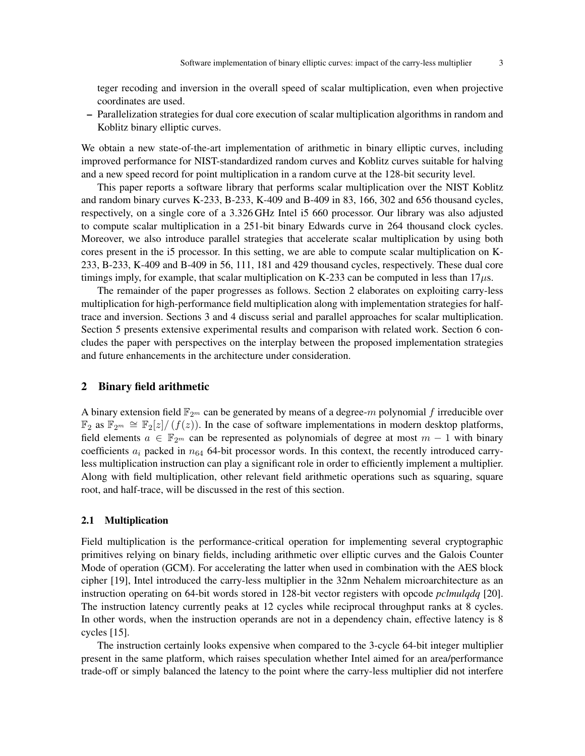teger recoding and inversion in the overall speed of scalar multiplication, even when projective coordinates are used.

– Parallelization strategies for dual core execution of scalar multiplication algorithms in random and Koblitz binary elliptic curves.

We obtain a new state-of-the-art implementation of arithmetic in binary elliptic curves, including improved performance for NIST-standardized random curves and Koblitz curves suitable for halving and a new speed record for point multiplication in a random curve at the 128-bit security level.

This paper reports a software library that performs scalar multiplication over the NIST Koblitz and random binary curves K-233, B-233, K-409 and B-409 in 83, 166, 302 and 656 thousand cycles, respectively, on a single core of a 3.326 GHz Intel i5 660 processor. Our library was also adjusted to compute scalar multiplication in a 251-bit binary Edwards curve in 264 thousand clock cycles. Moreover, we also introduce parallel strategies that accelerate scalar multiplication by using both cores present in the i5 processor. In this setting, we are able to compute scalar multiplication on K-233, B-233, K-409 and B-409 in 56, 111, 181 and 429 thousand cycles, respectively. These dual core timings imply, for example, that scalar multiplication on K-233 can be computed in less than  $17 \mu s$ .

The remainder of the paper progresses as follows. Section 2 elaborates on exploiting carry-less multiplication for high-performance field multiplication along with implementation strategies for halftrace and inversion. Sections 3 and 4 discuss serial and parallel approaches for scalar multiplication. Section 5 presents extensive experimental results and comparison with related work. Section 6 concludes the paper with perspectives on the interplay between the proposed implementation strategies and future enhancements in the architecture under consideration.

## 2 Binary field arithmetic

A binary extension field  $\mathbb{F}_{2m}$  can be generated by means of a degree-m polynomial f irreducible over  $\mathbb{F}_2$  as  $\mathbb{F}_{2^m} \cong \mathbb{F}_2[z]/(f(z))$ . In the case of software implementations in modern desktop platforms, field elements  $a \in \mathbb{F}_{2^m}$  can be represented as polynomials of degree at most  $m-1$  with binary coefficients  $a_i$  packed in  $n_{64}$  64-bit processor words. In this context, the recently introduced carryless multiplication instruction can play a significant role in order to efficiently implement a multiplier. Along with field multiplication, other relevant field arithmetic operations such as squaring, square root, and half-trace, will be discussed in the rest of this section.

# 2.1 Multiplication

Field multiplication is the performance-critical operation for implementing several cryptographic primitives relying on binary fields, including arithmetic over elliptic curves and the Galois Counter Mode of operation (GCM). For accelerating the latter when used in combination with the AES block cipher [19], Intel introduced the carry-less multiplier in the 32nm Nehalem microarchitecture as an instruction operating on 64-bit words stored in 128-bit vector registers with opcode *pclmulqdq* [20]. The instruction latency currently peaks at 12 cycles while reciprocal throughput ranks at 8 cycles. In other words, when the instruction operands are not in a dependency chain, effective latency is 8 cycles [15].

The instruction certainly looks expensive when compared to the 3-cycle 64-bit integer multiplier present in the same platform, which raises speculation whether Intel aimed for an area/performance trade-off or simply balanced the latency to the point where the carry-less multiplier did not interfere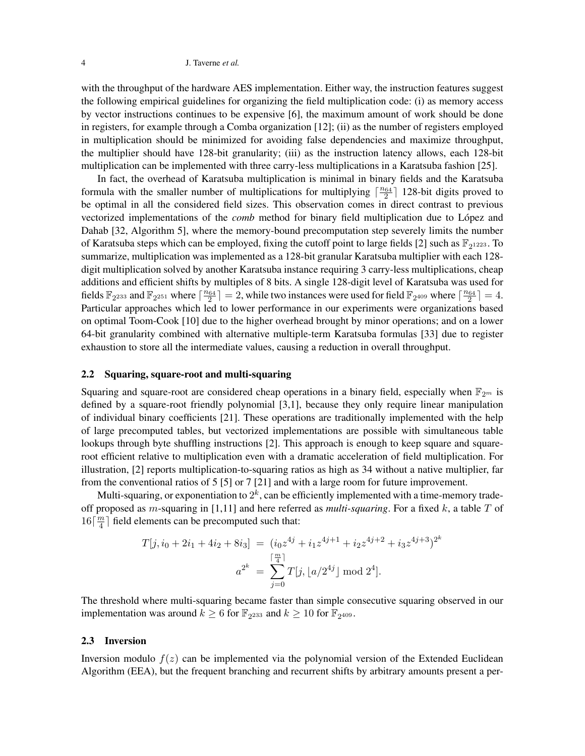with the throughput of the hardware AES implementation. Either way, the instruction features suggest the following empirical guidelines for organizing the field multiplication code: (i) as memory access by vector instructions continues to be expensive [6], the maximum amount of work should be done in registers, for example through a Comba organization [12]; (ii) as the number of registers employed in multiplication should be minimized for avoiding false dependencies and maximize throughput, the multiplier should have 128-bit granularity; (iii) as the instruction latency allows, each 128-bit multiplication can be implemented with three carry-less multiplications in a Karatsuba fashion [25].

In fact, the overhead of Karatsuba multiplication is minimal in binary fields and the Karatsuba formula with the smaller number of multiplications for multiplying  $\lceil \frac{n_{64}}{2} \rceil$  128-bit digits proved to be optimal in all the considered field sizes. This observation comes in direct contrast to previous vectorized implementations of the *comb* method for binary field multiplication due to Lopez and ´ Dahab [32, Algorithm 5], where the memory-bound precomputation step severely limits the number of Karatsuba steps which can be employed, fixing the cutoff point to large fields [2] such as  $\mathbb{F}_{2^{1223}}$ . To summarize, multiplication was implemented as a 128-bit granular Karatsuba multiplier with each 128 digit multiplication solved by another Karatsuba instance requiring 3 carry-less multiplications, cheap additions and efficient shifts by multiples of 8 bits. A single 128-digit level of Karatsuba was used for fields  $\mathbb{F}_{2^{233}}$  and  $\mathbb{F}_{2^{251}}$  where  $\lceil \frac{n_{64}}{2} \rceil = 2$ , while two instances were used for field  $\mathbb{F}_{2^{409}}$  where  $\lceil \frac{n_{64}}{2} \rceil = 4$ . Particular approaches which led to lower performance in our experiments were organizations based on optimal Toom-Cook [10] due to the higher overhead brought by minor operations; and on a lower 64-bit granularity combined with alternative multiple-term Karatsuba formulas [33] due to register exhaustion to store all the intermediate values, causing a reduction in overall throughput.

## 2.2 Squaring, square-root and multi-squaring

Squaring and square-root are considered cheap operations in a binary field, especially when  $\mathbb{F}_{2^m}$  is defined by a square-root friendly polynomial [3,1], because they only require linear manipulation of individual binary coefficients [21]. These operations are traditionally implemented with the help of large precomputed tables, but vectorized implementations are possible with simultaneous table lookups through byte shuffling instructions [2]. This approach is enough to keep square and squareroot efficient relative to multiplication even with a dramatic acceleration of field multiplication. For illustration, [2] reports multiplication-to-squaring ratios as high as 34 without a native multiplier, far from the conventional ratios of 5 [5] or 7 [21] and with a large room for future improvement.

Multi-squaring, or exponentiation to  $2^k$ , can be efficiently implemented with a time-memory tradeoff proposed as m-squaring in [1,11] and here referred as *multi-squaring*. For a fixed k, a table T of  $16\lceil \frac{m}{4}$  $\frac{m}{4}$ ] field elements can be precomputed such that:

$$
T[j, i_0 + 2i_1 + 4i_2 + 8i_3] = (i_0 z^{4j} + i_1 z^{4j+1} + i_2 z^{4j+2} + i_3 z^{4j+3})^{2^k}
$$

$$
a^{2^k} = \sum_{j=0}^{\lfloor \frac{m}{4} \rfloor} T[j, \lfloor a/2^{4j} \rfloor \mod 2^4].
$$

The threshold where multi-squaring became faster than simple consecutive squaring observed in our implementation was around  $k \ge 6$  for  $\mathbb{F}_{2^{233}}$  and  $k \ge 10$  for  $\mathbb{F}_{2^{409}}$ .

## 2.3 Inversion

Inversion modulo  $f(z)$  can be implemented via the polynomial version of the Extended Euclidean Algorithm (EEA), but the frequent branching and recurrent shifts by arbitrary amounts present a per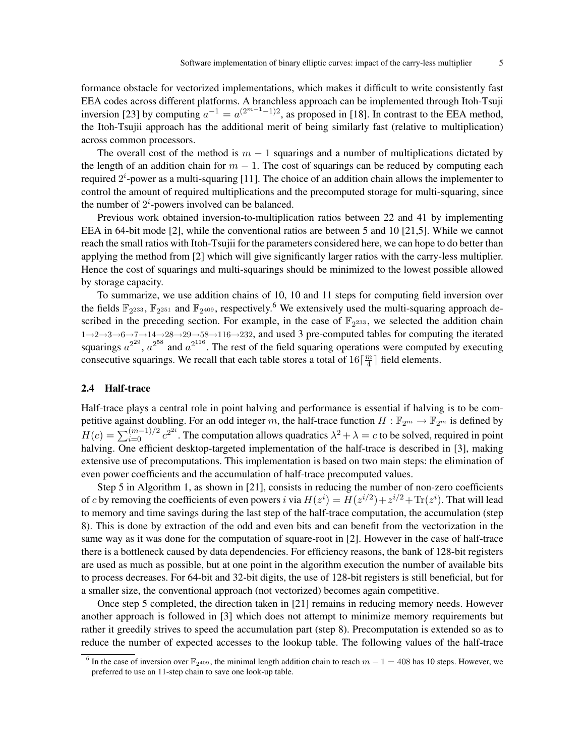formance obstacle for vectorized implementations, which makes it difficult to write consistently fast EEA codes across different platforms. A branchless approach can be implemented through Itoh-Tsuji inversion [23] by computing  $a^{-1} = a^{(2^{m-1}-1)/2}$ , as proposed in [18]. In contrast to the EEA method, the Itoh-Tsujii approach has the additional merit of being similarly fast (relative to multiplication) across common processors.

The overall cost of the method is  $m - 1$  squarings and a number of multiplications dictated by the length of an addition chain for  $m - 1$ . The cost of squarings can be reduced by computing each required  $2^{i}$ -power as a multi-squaring [11]. The choice of an addition chain allows the implementer to control the amount of required multiplications and the precomputed storage for multi-squaring, since the number of  $2^i$ -powers involved can be balanced.

Previous work obtained inversion-to-multiplication ratios between 22 and 41 by implementing EEA in 64-bit mode [2], while the conventional ratios are between 5 and 10 [21,5]. While we cannot reach the small ratios with Itoh-Tsujii for the parameters considered here, we can hope to do better than applying the method from [2] which will give significantly larger ratios with the carry-less multiplier. Hence the cost of squarings and multi-squarings should be minimized to the lowest possible allowed by storage capacity.

To summarize, we use addition chains of 10, 10 and 11 steps for computing field inversion over the fields  $\mathbb{F}_{2^{233}}$ ,  $\mathbb{F}_{2^{251}}$  and  $\mathbb{F}_{2^{409}}$ , respectively.<sup>6</sup> We extensively used the multi-squaring approach described in the preceding section. For example, in the case of  $\mathbb{F}_{2^{233}}$ , we selected the addition chain  $1\rightarrow 2\rightarrow 3\rightarrow 6\rightarrow 7\rightarrow 14\rightarrow 28\rightarrow 29\rightarrow 58\rightarrow 116\rightarrow 232$ , and used 3 pre-computed tables for computing the iterated squarings  $a^{2^{29}}$ ,  $a^{2^{58}}$  and  $a^{2^{116}}$ . The rest of the field squaring operations were computed by executing consecutive squarings. We recall that each table stores a total of  $16\frac{m}{4}$  $\frac{m}{4}$ ] field elements.

## 2.4 Half-trace

Half-trace plays a central role in point halving and performance is essential if halving is to be competitive against doubling. For an odd integer m, the half-trace function  $H : \mathbb{F}_{2^m} \to \mathbb{F}_{2^m}$  is defined by  $H(c) = \sum_{i=0}^{(m-1)/2} c^{2^{2i}}$ . The computation allows quadratics  $\lambda^2 + \lambda = c$  to be solved, required in point halving. One efficient desktop-targeted implementation of the half-trace is described in [3], making extensive use of precomputations. This implementation is based on two main steps: the elimination of even power coefficients and the accumulation of half-trace precomputed values.

Step 5 in Algorithm 1, as shown in [21], consists in reducing the number of non-zero coefficients of c by removing the coefficients of even powers i via  $H(z^i) = H(z^{i/2}) + z^{i/2} + \text{Tr}(z^i)$ . That will lead to memory and time savings during the last step of the half-trace computation, the accumulation (step 8). This is done by extraction of the odd and even bits and can benefit from the vectorization in the same way as it was done for the computation of square-root in [2]. However in the case of half-trace there is a bottleneck caused by data dependencies. For efficiency reasons, the bank of 128-bit registers are used as much as possible, but at one point in the algorithm execution the number of available bits to process decreases. For 64-bit and 32-bit digits, the use of 128-bit registers is still beneficial, but for a smaller size, the conventional approach (not vectorized) becomes again competitive.

Once step 5 completed, the direction taken in [21] remains in reducing memory needs. However another approach is followed in [3] which does not attempt to minimize memory requirements but rather it greedily strives to speed the accumulation part (step 8). Precomputation is extended so as to reduce the number of expected accesses to the lookup table. The following values of the half-trace

<sup>&</sup>lt;sup>6</sup> In the case of inversion over  $\mathbb{F}_{2^{409}}$ , the minimal length addition chain to reach  $m-1=408$  has 10 steps. However, we preferred to use an 11-step chain to save one look-up table.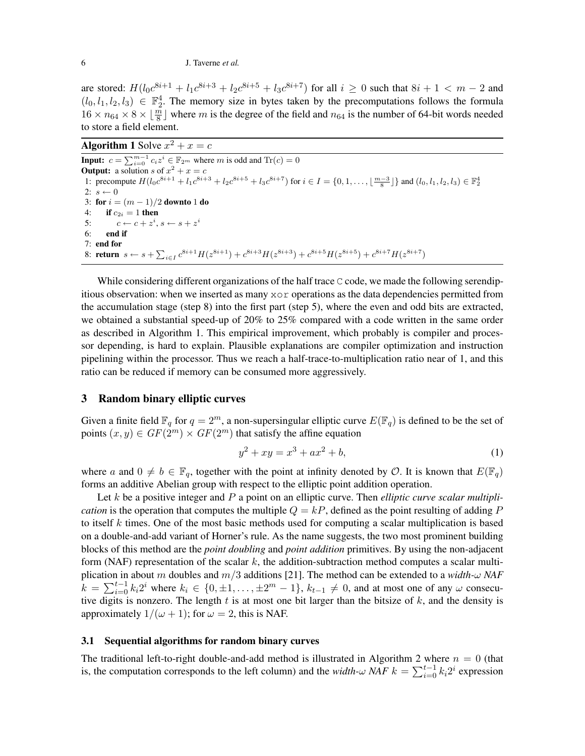are stored:  $H(l_0c^{8i+1} + l_1c^{8i+3} + l_2c^{8i+5} + l_3c^{8i+7})$  for all  $i \ge 0$  such that  $8i + 1 < m - 2$  and  $(l_0, l_1, l_2, l_3) \in \mathbb{F}_2^4$ . The memory size in bytes taken by the precomputations follows the formula  $16 \times n_{64} \times 8 \times \lfloor \frac{m}{8} \rfloor$  where m is the degree of the field and  $n_{64}$  is the number of 64-bit words needed to store a field element.

**Algorithm 1** Solve  $x^2 + x = c$ 

**Input:**  $c = \sum_{i=0}^{m-1} c_i z^i \in \mathbb{F}_{2^m}$  where m is odd and  $\text{Tr}(c) = 0$ **Output:** a solution s of  $x^2 + x = c$ 1: precompute  $H(l_0c^{8i+1} + l_1c^{8i+3} + l_2c^{8i+5} + l_3c^{8i+7})$  for  $i \in I = \{0, 1, ..., \lfloor \frac{m-3}{8} \rfloor\}$  and  $(l_0, l_1, l_2, l_3) \in \mathbb{F}_2^4$ 2:  $s \leftarrow 0$ 3: for  $i = (m - 1)/2$  downto 1 do 4: **if**  $c_{2i} = 1$  then 5:  $c \leftarrow c + z^i, s \leftarrow s + z^i$ 6: end if 7: end for 8: return  $s \leftarrow s + \sum_{i \in I} c^{8i+1} H(z^{8i+1}) + c^{8i+3} H(z^{8i+3}) + c^{8i+5} H(z^{8i+5}) + c^{8i+7} H(z^{8i+7})$ 

While considering different organizations of the half trace  $\subset$  code, we made the following serendipitious observation: when we inserted as many  $x \circ r$  operations as the data dependencies permitted from the accumulation stage (step 8) into the first part (step 5), where the even and odd bits are extracted, we obtained a substantial speed-up of 20% to 25% compared with a code written in the same order as described in Algorithm 1. This empirical improvement, which probably is compiler and processor depending, is hard to explain. Plausible explanations are compiler optimization and instruction pipelining within the processor. Thus we reach a half-trace-to-multiplication ratio near of 1, and this ratio can be reduced if memory can be consumed more aggressively.

# 3 Random binary elliptic curves

Given a finite field  $\mathbb{F}_q$  for  $q = 2^m$ , a non-supersingular elliptic curve  $E(\mathbb{F}_q)$  is defined to be the set of points  $(x, y) \in GF(2^m) \times GF(2^m)$  that satisfy the affine equation

$$
y^2 + xy = x^3 + ax^2 + b,\tag{1}
$$

where a and  $0 \neq b \in \mathbb{F}_q$ , together with the point at infinity denoted by O. It is known that  $E(\mathbb{F}_q)$ forms an additive Abelian group with respect to the elliptic point addition operation.

Let k be a positive integer and P a point on an elliptic curve. Then *elliptic curve scalar multiplication* is the operation that computes the multiple  $Q = kP$ , defined as the point resulting of adding P to itself k times. One of the most basic methods used for computing a scalar multiplication is based on a double-and-add variant of Horner's rule. As the name suggests, the two most prominent building blocks of this method are the *point doubling* and *point addition* primitives. By using the non-adjacent form (NAF) representation of the scalar  $k$ , the addition-subtraction method computes a scalar multiplication in about m doubles and m/3 additions [21]. The method can be extended to a *width-*ω *NAF*  $\hat{k} = \sum_{i=0}^{t-1} k_i 2^i$  where  $k_i \in \{0, \pm 1, \ldots, \pm 2^m - 1\}$ ,  $k_{t-1} \neq 0$ , and at most one of any  $\omega$  consecutive digits is nonzero. The length  $t$  is at most one bit larger than the bitsize of  $k$ , and the density is approximately  $1/(\omega + 1)$ ; for  $\omega = 2$ , this is NAF.

## 3.1 Sequential algorithms for random binary curves

The traditional left-to-right double-and-add method is illustrated in Algorithm 2 where  $n = 0$  (that is, the computation corresponds to the left column) and the *width-*ω *NAF*  $k = \sum_{i=0}^{t-1} k_i 2^i$  expression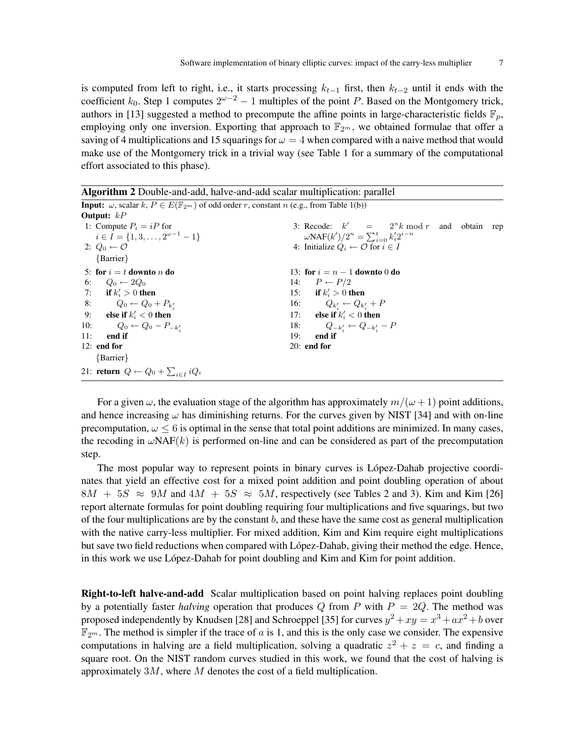is computed from left to right, i.e., it starts processing  $k_{t-1}$  first, then  $k_{t-2}$  until it ends with the coefficient  $k_0$ . Step 1 computes  $2^{\omega-2} - 1$  multiples of the point P. Based on the Montgomery trick, authors in [13] suggested a method to precompute the affine points in large-characteristic fields  $\mathbb{F}_n$ , employing only one inversion. Exporting that approach to  $\mathbb{F}_{2m}$ , we obtained formulae that offer a saving of 4 multiplications and 15 squarings for  $\omega = 4$  when compared with a naive method that would make use of the Montgomery trick in a trivial way (see Table 1 for a summary of the computational effort associated to this phase).

Algorithm 2 Double-and-add, halve-and-add scalar multiplication: parallel **Input:**  $\omega$ , scalar  $k, P \in E(\mathbb{F}_{2^m})$  of odd order r, constant n (e.g., from Table 1(b)) Output: kP 1: Compute  $P_i = iP$  for  $i \in I = \{1, 3, \ldots, 2^{\omega - 1} - 1\}$ 2:  $Q_0 \leftarrow \mathcal{O}$ 3: Recode:  $k'$  $= 2^n k \mod r$  and obtain rep ωΝΑF $(k')/2<sup>n</sup> = \sum_{i=0}^{t} k'_i 2^{i-n}$ 4: Initialize  $Q_i \leftarrow \mathcal{O}$  for  $i \in I$ {Barrier} 5: for  $i = t$  downto n do 6:  $Q_0 \leftarrow 2Q_0$ 7: if  $k'_i > 0$  then 8:  $Q_0 \leftarrow Q_0 + P_{k'_i}$ 9: else if  $k'_i < 0$  then 10:  $Q_0 \leftarrow Q_0 - P_{-k'_i}$ 11: end if 12: end for 13: for  $i = n - 1$  downto 0 do 14:  $P \leftarrow P/2$ 15: if  $k'_i > 0$  then 16:  $Q_{k'_i} \leftarrow Q_{k'_i} + P$ 17: else if  $k'_i < 0$  then 18:  $Q_{-k'_i} \leftarrow Q_{-k'_i} - P$ 19: end if 20: end for {Barrier} 21: return  $Q \leftarrow Q_0 + \sum_{i \in I} i Q_i$ 

For a given  $\omega$ , the evaluation stage of the algorithm has approximately  $m/(\omega + 1)$  point additions, and hence increasing  $\omega$  has diminishing returns. For the curves given by NIST [34] and with on-line precomputation,  $\omega \leq 6$  is optimal in the sense that total point additions are minimized. In many cases, the recoding in  $\omega$ NAF(k) is performed on-line and can be considered as part of the precomputation step.

The most popular way to represent points in binary curves is López-Dahab projective coordinates that yield an effective cost for a mixed point addition and point doubling operation of about  $8M + 5S \approx 9M$  and  $4M + 5S \approx 5M$ , respectively (see Tables 2 and 3). Kim and Kim [26] report alternate formulas for point doubling requiring four multiplications and five squarings, but two of the four multiplications are by the constant  $b$ , and these have the same cost as general multiplication with the native carry-less multiplier. For mixed addition, Kim and Kim require eight multiplications but save two field reductions when compared with López-Dahab, giving their method the edge. Hence, in this work we use López-Dahab for point doubling and Kim and Kim for point addition.

Right-to-left halve-and-add Scalar multiplication based on point halving replaces point doubling by a potentially faster *halving* operation that produces  $Q$  from  $P$  with  $P = 2Q$ . The method was proposed independently by Knudsen [28] and Schroeppel [35] for curves  $y^2 + xy = x^3 + ax^2 + b$  over  $\mathbb{F}_{2^m}$ . The method is simpler if the trace of a is 1, and this is the only case we consider. The expensive computations in halving are a field multiplication, solving a quadratic  $z^2 + z = c$ , and finding a square root. On the NIST random curves studied in this work, we found that the cost of halving is approximately  $3M$ , where  $M$  denotes the cost of a field multiplication.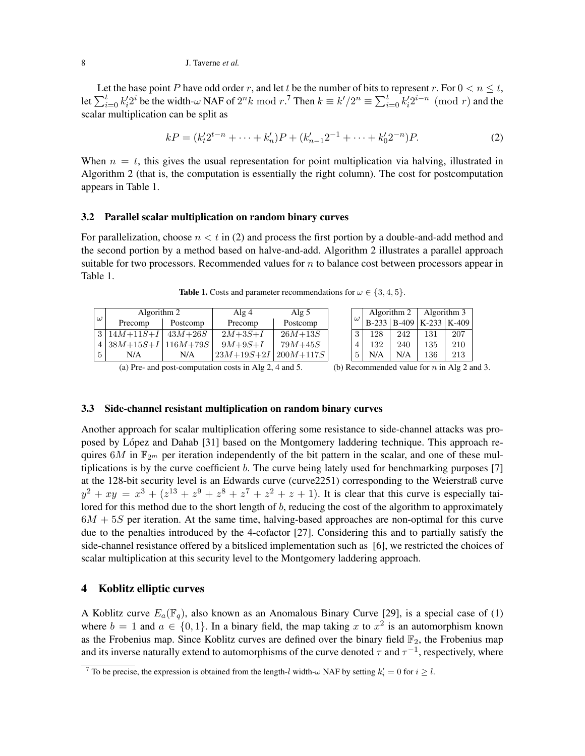Let the base point P have odd order r, and let t be the number of bits to represent r. For  $0 < n \le t$ , let  $\sum_{i=0}^t k_i' 2^i$  be the width- $\omega$  NAF of  $2^n k \mod r$ .<sup>7</sup> Then  $k \equiv k'/2^n \equiv \sum_{i=0}^t k_i' 2^{i-n} \pmod{r}$  and the scalar multiplication can be split as

$$
kP = (k_1'^2b^{n-1} + \dots + k_n')P + (k_{n-1}'^2b^{n-1} + \dots + k_0'^2b^{n-1})P.
$$
 (2)

When  $n = t$ , this gives the usual representation for point multiplication via halving, illustrated in Algorithm 2 (that is, the computation is essentially the right column). The cost for postcomputation appears in Table 1.

#### 3.2 Parallel scalar multiplication on random binary curves

For parallelization, choose  $n < t$  in (2) and process the first portion by a double-and-add method and the second portion by a method based on halve-and-add. Algorithm 2 illustrates a parallel approach suitable for two processors. Recommended values for  $n$  to balance cost between processors appear in Table 1.

|          | Algorithm 2    |              | Alg $5$<br>Alg $4$                               |             |          | Algorithm 2 |     | Algorithm 3                           |     |
|----------|----------------|--------------|--------------------------------------------------|-------------|----------|-------------|-----|---------------------------------------|-----|
| $\omega$ | Precomp        | Postcomp     | Precomp                                          | Postcomp    | $\omega$ |             |     | $B-233$   $B-409$   $K-233$   $K-409$ |     |
|          | $3 14M+11S+I$  | $43M + 26S$  | $2M + 3S + I$                                    | $26M + 13S$ | $\Omega$ | 128         | 242 | 131                                   | 207 |
|          | $4 38M+15S+I $ | $ 116M+79S $ | $9M + 9S + I$                                    | $79M + 45S$ |          | 132         | 240 | 135                                   | 210 |
| 5        | N/A            | N/A          | $\frac{1}{2}3M + 19S + 2I \mid 200M + 117S \mid$ |             | Ð        | N/A         | N/A | 136                                   | 213 |

**Table 1.** Costs and parameter recommendations for  $\omega \in \{3, 4, 5\}$ .

(a) Pre- and post-computation costs in Alg 2, 4 and 5. (b) Recommended value for  $n$  in Alg 2 and 3.

# 3.3 Side-channel resistant multiplication on random binary curves

Another approach for scalar multiplication offering some resistance to side-channel attacks was proposed by López and Dahab [31] based on the Montgomery laddering technique. This approach requires 6M in  $\mathbb{F}_{2^m}$  per iteration independently of the bit pattern in the scalar, and one of these multiplications is by the curve coefficient  $b$ . The curve being lately used for benchmarking purposes [7] at the 128-bit security level is an Edwards curve (curve2251) corresponding to the Weierstraß curve  $y^{2} + xy = x^{3} + (z^{13} + z^{9} + z^{8} + z^{7} + z^{2} + z + 1)$ . It is clear that this curve is especially tailored for this method due to the short length of b, reducing the cost of the algorithm to approximately  $6M + 5S$  per iteration. At the same time, halving-based approaches are non-optimal for this curve due to the penalties introduced by the 4-cofactor [27]. Considering this and to partially satisfy the side-channel resistance offered by a bitsliced implementation such as [6], we restricted the choices of scalar multiplication at this security level to the Montgomery laddering approach.

# 4 Koblitz elliptic curves

A Koblitz curve  $E_a(\mathbb{F}_q)$ , also known as an Anomalous Binary Curve [29], is a special case of (1) where  $b = 1$  and  $a \in \{0, 1\}$ . In a binary field, the map taking x to  $x^2$  is an automorphism known as the Frobenius map. Since Koblitz curves are defined over the binary field  $\mathbb{F}_2$ , the Frobenius map and its inverse naturally extend to automorphisms of the curve denoted  $\tau$  and  $\tau^{-1}$ , respectively, where

<sup>&</sup>lt;sup>7</sup> To be precise, the expression is obtained from the length-l width- $\omega$  NAF by setting  $k'_i = 0$  for  $i \geq l$ .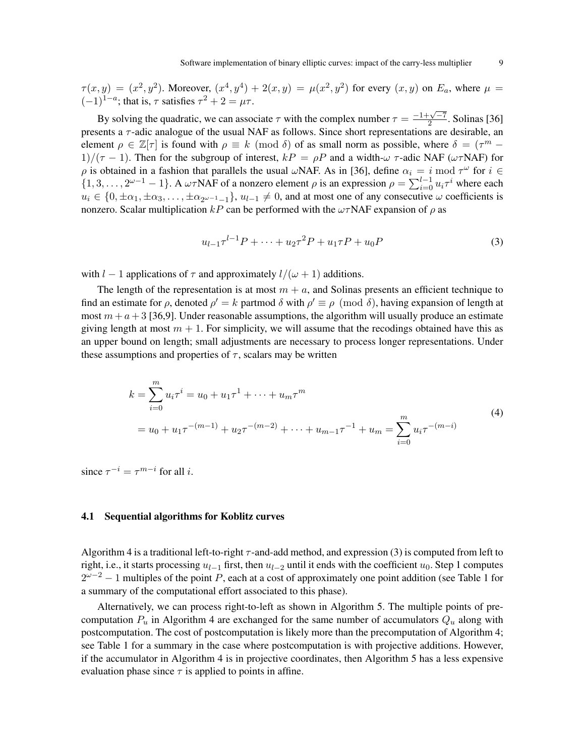$\tau(x,y) = (x^2, y^2)$ . Moreover,  $(x^4, y^4) + 2(x, y) = \mu(x^2, y^2)$  for every  $(x, y)$  on  $E_a$ , where  $\mu =$  $(-1)^{1-a}$ ; that is,  $\tau$  satisfies  $\tau^2 + 2 = \mu \tau$ .

By solving the quadratic, we can associate  $\tau$  with the complex number  $\tau = \frac{-1+\sqrt{-7}}{2}$  $\frac{2}{2}$ . Solinas [36] presents a  $\tau$ -adic analogue of the usual NAF as follows. Since short representations are desirable, an element  $\rho \in \mathbb{Z}[\tau]$  is found with  $\rho \equiv k \pmod{\delta}$  of as small norm as possible, where  $\delta = (\tau^m - \tau^m)$ 1)/( $\tau$  − 1). Then for the subgroup of interest,  $kP = \rho P$  and a width- $\omega \tau$ -adic NAF ( $\omega \tau$ NAF) for  $\rho$  is obtained in a fashion that parallels the usual  $\omega$ NAF. As in [36], define  $\alpha_i = i \mod \tau^\omega$  for  $i \in$  $\{1,3,\ldots,2^{\omega-1}-1\}$ . A  $\omega \tau$ NAF of a nonzero element  $\rho$  is an expression  $\rho = \sum_{i=0}^{l-1} u_i \tau^i$  where each  $u_i \in \{0, \pm \alpha_1, \pm \alpha_3, \ldots, \pm \alpha_{2\omega-1-1}\}, u_{l-1} \neq 0$ , and at most one of any consecutive  $\omega$  coefficients is nonzero. Scalar multiplication kP can be performed with the  $\omega \tau NAF$  expansion of  $\rho$  as

$$
u_{l-1}\tau^{l-1}P + \dots + u_2\tau^2P + u_1\tau P + u_0P \tag{3}
$$

with  $l - 1$  applications of  $\tau$  and approximately  $l/(\omega + 1)$  additions.

The length of the representation is at most  $m + a$ , and Solinas presents an efficient technique to find an estimate for  $\rho$ , denoted  $\rho' = k$  partmod  $\delta$  with  $\rho' \equiv \rho \pmod{\delta}$ , having expansion of length at most  $m + a + 3$  [36,9]. Under reasonable assumptions, the algorithm will usually produce an estimate giving length at most  $m + 1$ . For simplicity, we will assume that the recodings obtained have this as an upper bound on length; small adjustments are necessary to process longer representations. Under these assumptions and properties of  $\tau$ , scalars may be written

$$
k = \sum_{i=0}^{m} u_i \tau^i = u_0 + u_1 \tau^1 + \dots + u_m \tau^m
$$
  
=  $u_0 + u_1 \tau^{-(m-1)} + u_2 \tau^{-(m-2)} + \dots + u_{m-1} \tau^{-1} + u_m = \sum_{i=0}^{m} u_i \tau^{-(m-i)}$  (4)

since  $\tau^{-i} = \tau^{m-i}$  for all *i*.

#### 4.1 Sequential algorithms for Koblitz curves

Algorithm 4 is a traditional left-to-right  $\tau$ -and-add method, and expression (3) is computed from left to right, i.e., it starts processing  $u_{l-1}$  first, then  $u_{l-2}$  until it ends with the coefficient  $u_0$ . Step 1 computes  $2^{\omega-2} - 1$  multiples of the point P, each at a cost of approximately one point addition (see Table 1 for a summary of the computational effort associated to this phase).

Alternatively, we can process right-to-left as shown in Algorithm 5. The multiple points of precomputation  $P_u$  in Algorithm 4 are exchanged for the same number of accumulators  $Q_u$  along with postcomputation. The cost of postcomputation is likely more than the precomputation of Algorithm 4; see Table 1 for a summary in the case where postcomputation is with projective additions. However, if the accumulator in Algorithm 4 is in projective coordinates, then Algorithm 5 has a less expensive evaluation phase since  $\tau$  is applied to points in affine.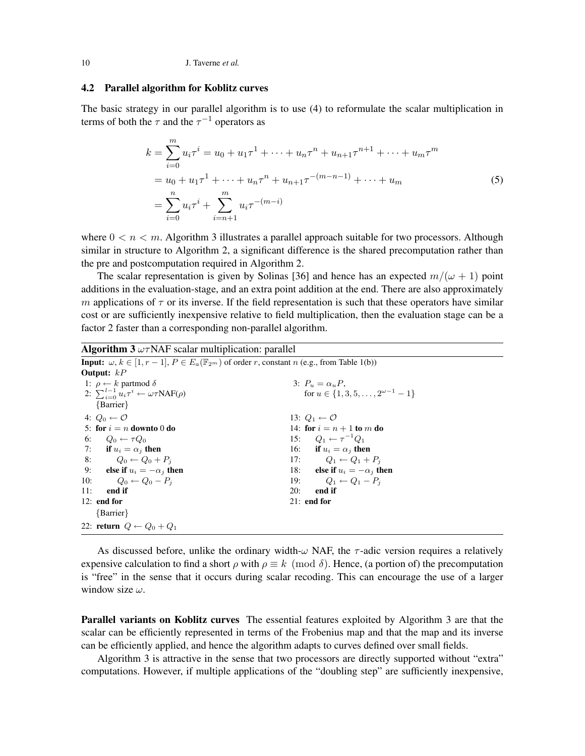## 4.2 Parallel algorithm for Koblitz curves

The basic strategy in our parallel algorithm is to use (4) to reformulate the scalar multiplication in terms of both the  $\tau$  and the  $\tau^{-1}$  operators as

$$
k = \sum_{i=0}^{m} u_i \tau^i = u_0 + u_1 \tau^1 + \dots + u_n \tau^n + u_{n+1} \tau^{n+1} + \dots + u_m \tau^m
$$
  
=  $u_0 + u_1 \tau^1 + \dots + u_n \tau^n + u_{n+1} \tau^{-(m-n-1)} + \dots + u_m$   
=  $\sum_{i=0}^{n} u_i \tau^i + \sum_{i=n+1}^{m} u_i \tau^{-(m-i)}$  (5)

where  $0 \le n \le m$ . Algorithm 3 illustrates a parallel approach suitable for two processors. Although similar in structure to Algorithm 2, a significant difference is the shared precomputation rather than the pre and postcomputation required in Algorithm 2.

The scalar representation is given by Solinas [36] and hence has an expected  $m/(\omega + 1)$  point additions in the evaluation-stage, and an extra point addition at the end. There are also approximately m applications of  $\tau$  or its inverse. If the field representation is such that these operators have similar cost or are sufficiently inexpensive relative to field multiplication, then the evaluation stage can be a factor 2 faster than a corresponding non-parallel algorithm.

**Algorithm 3**  $\omega \tau$ NAF scalar multiplication: parallel

| <b>Input:</b> $\omega, k \in [1, r-1], P \in E_a(\mathbb{F}_{2^m})$ of order r, constant n (e.g., from Table 1(b)) |                                                   |
|--------------------------------------------------------------------------------------------------------------------|---------------------------------------------------|
| Output: $kP$                                                                                                       |                                                   |
| 1: $\rho \leftarrow k$ partmod $\delta$                                                                            | 3: $P_u = \alpha_u P$ .                           |
| 2: $\sum_{i=0}^{l-1} u_i \tau^i \leftarrow \omega \tau \text{NAF}(\rho)$                                           | for $u \in \{1, 3, 5, \ldots, 2^{\omega-1} - 1\}$ |
| $\{Barrier\}$                                                                                                      |                                                   |
| 4: $Q_0 \leftarrow \mathcal{O}$                                                                                    | 13: $Q_1 \leftarrow \mathcal{O}$                  |
| 5: for $i = n$ downto 0 do                                                                                         | 14: for $i = n + 1$ to m do                       |
| 6: $Q_0 \leftarrow \tau Q_0$                                                                                       | 15: $Q_1 \leftarrow \tau^{-1} Q_1$                |
| 7: if $u_i = \alpha_i$ then                                                                                        | 16: if $u_i = \alpha_i$ then                      |
| 8: $Q_0 \leftarrow Q_0 + P_i$                                                                                      | 17: $Q_1 \leftarrow Q_1 + P_i$                    |
| 9: else if $u_i = -\alpha_i$ then                                                                                  | 18: else if $u_i = -\alpha_i$ then                |
| 10: $Q_0 \leftarrow Q_0 - P_i$                                                                                     | 19: $Q_1 \leftarrow Q_1 - P_i$                    |
| 11:<br>end if                                                                                                      | 20:<br>end if                                     |
| $12:$ end for                                                                                                      | $21:$ end for                                     |
| $\{Barrier\}$                                                                                                      |                                                   |
| 22: return $Q \leftarrow Q_0 + Q_1$                                                                                |                                                   |

As discussed before, unlike the ordinary width- $\omega$  NAF, the  $\tau$ -adic version requires a relatively expensive calculation to find a short  $\rho$  with  $\rho \equiv k \pmod{\delta}$ . Hence, (a portion of) the precomputation is "free" in the sense that it occurs during scalar recoding. This can encourage the use of a larger window size  $\omega$ .

Parallel variants on Koblitz curves The essential features exploited by Algorithm 3 are that the scalar can be efficiently represented in terms of the Frobenius map and that the map and its inverse can be efficiently applied, and hence the algorithm adapts to curves defined over small fields.

Algorithm 3 is attractive in the sense that two processors are directly supported without "extra" computations. However, if multiple applications of the "doubling step" are sufficiently inexpensive,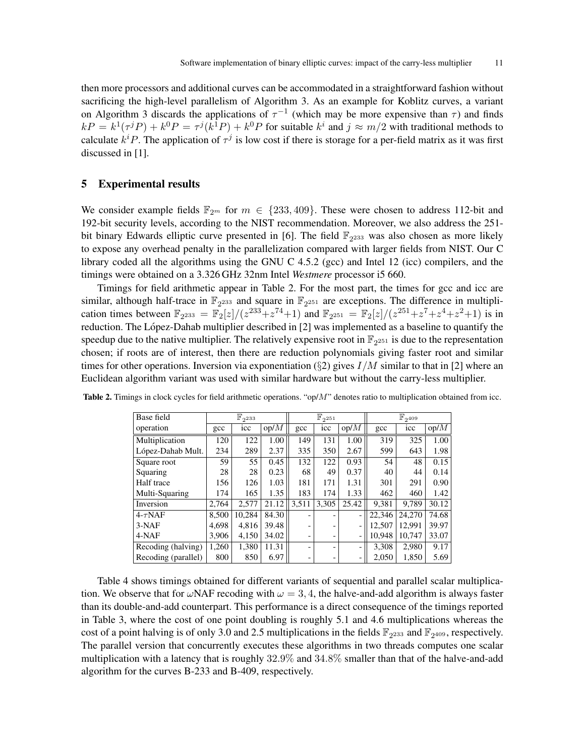then more processors and additional curves can be accommodated in a straightforward fashion without sacrificing the high-level parallelism of Algorithm 3. As an example for Koblitz curves, a variant on Algorithm 3 discards the applications of  $\tau^{-1}$  (which may be more expensive than  $\tau$ ) and finds  $kP = k^1(\tau^j P) + k^0 P = \tau^j(k^1 P) + k^0 P$  for suitable  $k^i$  and  $j \approx m/2$  with traditional methods to calculate  $k^{i}P$ . The application of  $\tau^{j}$  is low cost if there is storage for a per-field matrix as it was first discussed in [1].

# 5 Experimental results

We consider example fields  $\mathbb{F}_{2m}$  for  $m \in \{233, 409\}$ . These were chosen to address 112-bit and 192-bit security levels, according to the NIST recommendation. Moreover, we also address the 251 bit binary Edwards elliptic curve presented in [6]. The field  $\mathbb{F}_{2^{233}}$  was also chosen as more likely to expose any overhead penalty in the parallelization compared with larger fields from NIST. Our C library coded all the algorithms using the GNU C 4.5.2 (gcc) and Intel 12 (icc) compilers, and the timings were obtained on a 3.326 GHz 32nm Intel *Westmere* processor i5 660.

Timings for field arithmetic appear in Table 2. For the most part, the times for gcc and icc are similar, although half-trace in  $\mathbb{F}_{2^{233}}$  and square in  $\mathbb{F}_{2^{251}}$  are exceptions. The difference in multiplication times between  $\mathbb{F}_{2^{233}} = \mathbb{F}_{2}[z]/(z^{233}+z^{74}+1)$  and  $\mathbb{F}_{2^{251}} = \mathbb{F}_{2}[z]/(z^{251}+z^{7}+z^{4}+z^{2}+1)$  is in reduction. The López-Dahab multiplier described in [2] was implemented as a baseline to quantify the speedup due to the native multiplier. The relatively expensive root in  $\mathbb{F}_{2^{251}}$  is due to the representation chosen; if roots are of interest, then there are reduction polynomials giving faster root and similar times for other operations. Inversion via exponentiation ( $\S2$ ) gives  $I/M$  similar to that in [2] where an Euclidean algorithm variant was used with similar hardware but without the carry-less multiplier.

| Base field          |       | $\mathbb{F}_{2^{233}}$ |       |       | $\mathbb{F}_{2^{251}}$ |                          |        | $\mathbb{F}_{2^{409}}$ |       |
|---------------------|-------|------------------------|-------|-------|------------------------|--------------------------|--------|------------------------|-------|
| operation           | gcc   | icc                    | op/M  | gcc   | icc                    | op/M                     | gcc    | icc                    | op/M  |
| Multiplication      | 120   | 122                    | 1.00  | 149   | 131                    | 1.00                     | 319    | 325                    | 1.00  |
| López-Dahab Mult.   | 234   | 289                    | 2.37  | 335   | 350                    | 2.67                     | 599    | 643                    | 1.98  |
| Square root         | 59    | 55                     | 0.45  | 132   | 122                    | 0.93                     | 54     | 48                     | 0.15  |
| Squaring            | 28    | 28                     | 0.23  | 68    | 49                     | 0.37                     | 40     | 44                     | 0.14  |
| Half trace          | 156   | 126                    | 1.03  | 181   | 171                    | 1.31                     | 301    | 291                    | 0.90  |
| Multi-Squaring      | 174   | 165                    | 1.35  | 183   | 174                    | 1.33                     | 462    | 460                    | 1.42  |
| Inversion           | 2.764 | 2.577                  | 21.12 | 3,511 | 3,305                  | 25.42                    | 9,381  | 9.789                  | 30.12 |
| $4-\tau\text{NAF}$  | 8.500 | 10.284                 | 84.30 |       |                        | $\overline{\phantom{0}}$ | 22,346 | 24,270                 | 74.68 |
| $3-NAF$             | 4.698 | 4.816                  | 39.48 |       |                        | $\overline{a}$           | 12,507 | 12.991                 | 39.97 |
| 4-NAF               | 3,906 | 4,150                  | 34.02 |       |                        | ۰                        | 10.948 | 10,747                 | 33.07 |
| Recoding (halving)  | 1,260 | 1,380                  | 11.31 |       |                        |                          | 3.308  | 2,980                  | 9.17  |
| Recoding (parallel) | 800   | 850                    | 6.97  |       |                        | -                        | 2.050  | 1,850                  | 5.69  |

Table 2. Timings in clock cycles for field arithmetic operations. "op/M" denotes ratio to multiplication obtained from icc.

Table 4 shows timings obtained for different variants of sequential and parallel scalar multiplication. We observe that for  $\omega$ NAF recoding with  $\omega = 3, 4$ , the halve-and-add algorithm is always faster than its double-and-add counterpart. This performance is a direct consequence of the timings reported in Table 3, where the cost of one point doubling is roughly 5.1 and 4.6 multiplications whereas the cost of a point halving is of only 3.0 and 2.5 multiplications in the fields  $\mathbb{F}_2$  and  $\mathbb{F}_2$  and  $\mathbb{F}_2$  respectively. The parallel version that concurrently executes these algorithms in two threads computes one scalar multiplication with a latency that is roughly 32.9% and 34.8% smaller than that of the halve-and-add algorithm for the curves B-233 and B-409, respectively.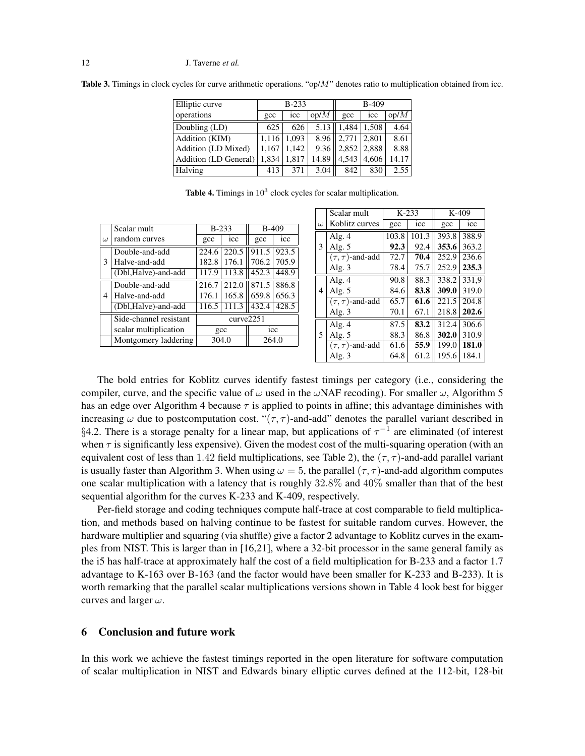**Table 3.** Timings in clock cycles for curve arithmetic operations. "op/ $M$ " denotes ratio to multiplication obtained from icc.

| Elliptic curve        |              | $B-233$ |       | <b>B-409</b>    |       |       |  |
|-----------------------|--------------|---------|-------|-----------------|-------|-------|--|
| operations            | $_{\rm gcc}$ | icc     | op/M  | $_{\text{gcc}}$ | 1CC   | op/M  |  |
| Doubling (LD)         | 625          | 626     | 5.13  | 1.484           | 1,508 | 4.64  |  |
| Addition (KIM)        | 1.116        | 1.093   | 8.96  | 2,771           | 2,801 | 8.61  |  |
| Addition (LD Mixed)   | 1,167        | 1,142   | 9.36  | 2,852           | 2,888 | 8.88  |  |
| Addition (LD General) | 1,834        | 1,817   | 14.89 | 4,543           | 4,606 | 14.17 |  |
| Halving               | 413          | 371     | 3.04  | 842             | 830   | 2.55  |  |

|          | Scalar mult            | $B-233$       |               | <b>B-409</b> |       |  |
|----------|------------------------|---------------|---------------|--------------|-------|--|
| $\omega$ | random curves          | $_{\rm{acc}}$ | icc           | gcc          | icc   |  |
| 3        | Double-and-add         | 224.6         | 220.5         | 911.5        | 923.5 |  |
|          | Halve-and-add          | 182.8         | 176.1         | 706.2        | 705.9 |  |
|          | (Dbl, Halve)-and-add   | 117.9         | 113.8         | 452.3        | 448.9 |  |
|          | Double-and-add         | 216.7         | 212.0         | 871.5        | 886.8 |  |
| 4        | Halve-and-add          | 176.1         | 165.8         | 659.8        | 656.3 |  |
|          | (Dbl, Halve)-and-add   | 116.5         | 111.3         | 432.4        | 428.5 |  |
|          | Side-channel resistant |               | curve2251     |              |       |  |
|          | scalar multiplication  |               | $_{\rm{acc}}$ | icc          |       |  |
|          | Montgomery laddering   |               | 304.0         | 264.0        |       |  |
|          |                        |               |               |              |       |  |

|          | Scalar mult             |       | $K-233$ |       | $K-409$ |  |
|----------|-------------------------|-------|---------|-------|---------|--|
| $\omega$ | Koblitz curves          | gcc   | icc     | gcc   | icc     |  |
|          | Alg. $4$                | 103.8 | 101.3   | 393.8 | 388.9   |  |
| 3        | Alg. $5$                | 92.3  | 92.4    | 353.6 | 363.2   |  |
|          | $(\tau, \tau)$ -and-add | 72.7  | 70.4    | 252.9 | 236.6   |  |
|          | Alg. $3$                | 78.4  | 75.7    | 252.9 | 235.3   |  |
|          | Alg. $4$                | 90.8  | 88.3    | 338.2 | 331.9   |  |
| 4        | Alg. $5$                | 84.6  | 83.8    | 309.0 | 319.0   |  |
|          | $(\tau, \tau)$ -and-add | 65.7  | 61.6    | 221.5 | 204.8   |  |
|          | Alg. $3$                | 70.1  | 67.1    | 218.8 | 202.6   |  |
|          | Alg. $4$                | 87.5  | 83.2    | 312.4 | 306.6   |  |
| 5        | Alg. $5$                | 88.3  | 86.8    | 302.0 | 310.9   |  |
|          | $(\tau, \tau)$ -and-add | 61.6  | 55.9    | 199.0 | 181.0   |  |
|          | Alg. $3$                | 64.8  | 61.2    | 195.6 | 184.1   |  |

The bold entries for Koblitz curves identify fastest timings per category (i.e., considering the compiler, curve, and the specific value of  $\omega$  used in the  $\omega$ NAF recoding). For smaller  $\omega$ , Algorithm 5 has an edge over Algorithm 4 because  $\tau$  is applied to points in affine; this advantage diminishes with increasing  $\omega$  due to postcomputation cost. " $(\tau, \tau)$ -and-add" denotes the parallel variant described in §4.2. There is a storage penalty for a linear map, but applications of  $\tau^{-1}$  are eliminated (of interest when  $\tau$  is significantly less expensive). Given the modest cost of the multi-squaring operation (with an equivalent cost of less than 1.42 field multiplications, see Table 2), the  $(\tau, \tau)$ -and-add parallel variant is usually faster than Algorithm 3. When using  $\omega = 5$ , the parallel  $(\tau, \tau)$ -and-add algorithm computes one scalar multiplication with a latency that is roughly 32.8% and 40% smaller than that of the best sequential algorithm for the curves K-233 and K-409, respectively.

Per-field storage and coding techniques compute half-trace at cost comparable to field multiplication, and methods based on halving continue to be fastest for suitable random curves. However, the hardware multiplier and squaring (via shuffle) give a factor 2 advantage to Koblitz curves in the examples from NIST. This is larger than in [16,21], where a 32-bit processor in the same general family as the i5 has half-trace at approximately half the cost of a field multiplication for B-233 and a factor 1.7 advantage to K-163 over B-163 (and the factor would have been smaller for K-233 and B-233). It is worth remarking that the parallel scalar multiplications versions shown in Table 4 look best for bigger curves and larger  $\omega$ .

# 6 Conclusion and future work

In this work we achieve the fastest timings reported in the open literature for software computation of scalar multiplication in NIST and Edwards binary elliptic curves defined at the 112-bit, 128-bit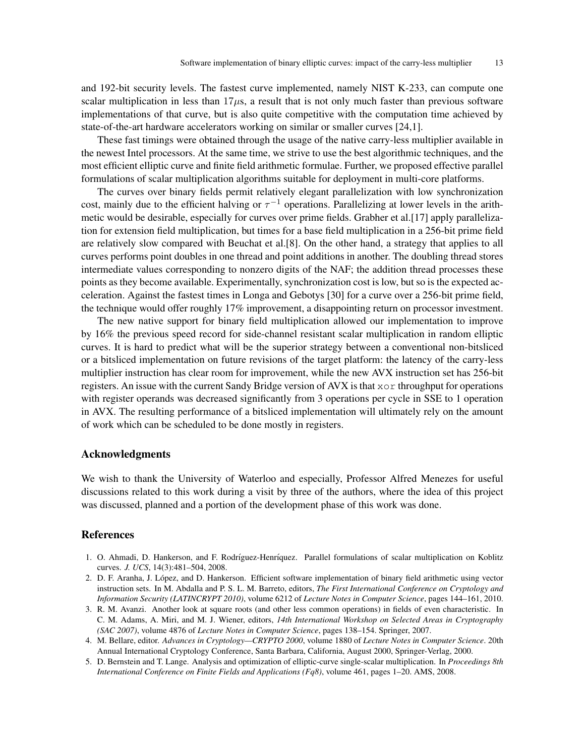and 192-bit security levels. The fastest curve implemented, namely NIST K-233, can compute one scalar multiplication in less than  $17\mu s$ , a result that is not only much faster than previous software implementations of that curve, but is also quite competitive with the computation time achieved by state-of-the-art hardware accelerators working on similar or smaller curves [24,1].

These fast timings were obtained through the usage of the native carry-less multiplier available in the newest Intel processors. At the same time, we strive to use the best algorithmic techniques, and the most efficient elliptic curve and finite field arithmetic formulae. Further, we proposed effective parallel formulations of scalar multiplication algorithms suitable for deployment in multi-core platforms.

The curves over binary fields permit relatively elegant parallelization with low synchronization cost, mainly due to the efficient halving or  $\tau^{-1}$  operations. Parallelizing at lower levels in the arithmetic would be desirable, especially for curves over prime fields. Grabher et al.[17] apply parallelization for extension field multiplication, but times for a base field multiplication in a 256-bit prime field are relatively slow compared with Beuchat et al.[8]. On the other hand, a strategy that applies to all curves performs point doubles in one thread and point additions in another. The doubling thread stores intermediate values corresponding to nonzero digits of the NAF; the addition thread processes these points as they become available. Experimentally, synchronization cost is low, but so is the expected acceleration. Against the fastest times in Longa and Gebotys [30] for a curve over a 256-bit prime field, the technique would offer roughly 17% improvement, a disappointing return on processor investment.

The new native support for binary field multiplication allowed our implementation to improve by 16% the previous speed record for side-channel resistant scalar multiplication in random elliptic curves. It is hard to predict what will be the superior strategy between a conventional non-bitsliced or a bitsliced implementation on future revisions of the target platform: the latency of the carry-less multiplier instruction has clear room for improvement, while the new AVX instruction set has 256-bit registers. An issue with the current Sandy Bridge version of AVX is that xor throughput for operations with register operands was decreased significantly from 3 operations per cycle in SSE to 1 operation in AVX. The resulting performance of a bitsliced implementation will ultimately rely on the amount of work which can be scheduled to be done mostly in registers.

## Acknowledgments

We wish to thank the University of Waterloo and especially, Professor Alfred Menezes for useful discussions related to this work during a visit by three of the authors, where the idea of this project was discussed, planned and a portion of the development phase of this work was done.

# References

- 1. O. Ahmadi, D. Hankerson, and F. Rodríguez-Henríquez. Parallel formulations of scalar multiplication on Koblitz curves. *J. UCS*, 14(3):481–504, 2008.
- 2. D. F. Aranha, J. Lopez, and D. Hankerson. Efficient software implementation of binary field arithmetic using vector ´ instruction sets. In M. Abdalla and P. S. L. M. Barreto, editors, *The First International Conference on Cryptology and Information Security (LATINCRYPT 2010)*, volume 6212 of *Lecture Notes in Computer Science*, pages 144–161, 2010.
- 3. R. M. Avanzi. Another look at square roots (and other less common operations) in fields of even characteristic. In C. M. Adams, A. Miri, and M. J. Wiener, editors, *14th International Workshop on Selected Areas in Cryptography (SAC 2007)*, volume 4876 of *Lecture Notes in Computer Science*, pages 138–154. Springer, 2007.
- 4. M. Bellare, editor. *Advances in Cryptology—CRYPTO 2000*, volume 1880 of *Lecture Notes in Computer Science*. 20th Annual International Cryptology Conference, Santa Barbara, California, August 2000, Springer-Verlag, 2000.
- 5. D. Bernstein and T. Lange. Analysis and optimization of elliptic-curve single-scalar multiplication. In *Proceedings 8th International Conference on Finite Fields and Applications (Fq8)*, volume 461, pages 1–20. AMS, 2008.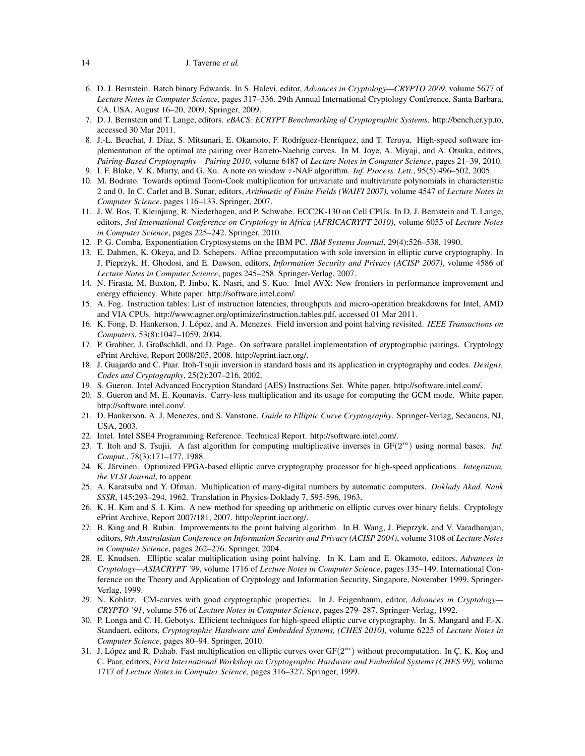- 6. D. J. Bernstein. Batch binary Edwards. In S. Halevi, editor, *Advances in Cryptology—CRYPTO 2009*, volume 5677 of *Lecture Notes in Computer Science*, pages 317–336. 29th Annual International Cryptology Conference, Santa Barbara, CA, USA, August 16–20, 2009, Springer, 2009.
- 7. D. J. Bernstein and T. Lange, editors. *eBACS: ECRYPT Benchmarking of Cryptographic Systems*. http://bench.cr.yp.to, accessed 30 Mar 2011.
- 8. J.-L. Beuchat, J. Díaz, S. Mitsunari, E. Okamoto, F. Rodríguez-Henríquez, and T. Teruya. High-speed software implementation of the optimal ate pairing over Barreto-Naehrig curves. In M. Joye, A. Miyaji, and A. Otsuka, editors, *Pairing-Based Cryptography – Pairing 2010*, volume 6487 of *Lecture Notes in Computer Science*, pages 21–39, 2010.
- 9. I. F. Blake, V. K. Murty, and G. Xu. A note on window τ -NAF algorithm. *Inf. Process. Lett.*, 95(5):496–502, 2005.
- 10. M. Bodrato. Towards optimal Toom-Cook multiplication for univariate and multivariate polynomials in characteristic 2 and 0. In C. Carlet and B. Sunar, editors, *Arithmetic of Finite Fields (WAIFI 2007)*, volume 4547 of *Lecture Notes in Computer Science*, pages 116–133. Springer, 2007.
- 11. J. W. Bos, T. Kleinjung, R. Niederhagen, and P. Schwabe. ECC2K-130 on Cell CPUs. In D. J. Bernstein and T. Lange, editors, *3rd International Conference on Cryptology in Africa (AFRICACRYPT 2010)*, volume 6055 of *Lecture Notes in Computer Science*, pages 225–242. Springer, 2010.
- 12. P. G. Comba. Exponentiation Cryptosystems on the IBM PC. *IBM Systems Journal*, 29(4):526–538, 1990.
- 13. E. Dahmen, K. Okeya, and D. Schepers. Affine precomputation with sole inversion in elliptic curve cryptography. In J. Pieprzyk, H. Ghodosi, and E. Dawson, editors, *Information Security and Privacy (ACISP 2007)*, volume 4586 of *Lecture Notes in Computer Science*, pages 245–258. Springer-Verlag, 2007.
- 14. N. Firasta, M. Buxton, P. Jinbo, K. Nasri, and S. Kuo. Intel AVX: New frontiers in performance improvement and energy efficiency. White paper. http://software.intel.com/.
- 15. A. Fog. Instruction tables: List of instruction latencies, throughputs and micro-operation breakdowns for Intel, AMD and VIA CPUs. http://www.agner.org/optimize/instruction tables.pdf, accessed 01 Mar 2011.
- 16. K. Fong, D. Hankerson, J. López, and A. Menezes. Field inversion and point halving revisited. *IEEE Transactions on Computers*, 53(8):1047–1059, 2004.
- 17. P. Grabher, J. Großschädl, and D. Page. On software parallel implementation of cryptographic pairings. Cryptology ePrint Archive, Report 2008/205, 2008. http://eprint.iacr.org/.
- 18. J. Guajardo and C. Paar. Itoh-Tsujii inversion in standard basis and its application in cryptography and codes. *Designs, Codes and Cryptography*, 25(2):207–216, 2002.
- 19. S. Gueron. Intel Advanced Encryption Standard (AES) Instructions Set. White paper. http://software.intel.com/.
- 20. S. Gueron and M. E. Kounavis. Carry-less multiplication and its usage for computing the GCM mode. White paper. http://software.intel.com/.
- 21. D. Hankerson, A. J. Menezes, and S. Vanstone. *Guide to Elliptic Curve Cryptography*. Springer-Verlag, Secaucus, NJ, USA, 2003.
- 22. Intel. Intel SSE4 Programming Reference. Technical Report. http://software.intel.com/.
- 23. T. Itoh and S. Tsujii. A fast algorithm for computing multiplicative inverses in GF(2<sup>m</sup>) using normal bases. *Inf. Comput.*, 78(3):171–177, 1988.
- 24. K. Järvinen. Optimized FPGA-based elliptic curve cryptography processor for high-speed applications. *Integration*, *the VLSI Journal*, to appear.
- 25. A. Karatsuba and Y. Ofman. Multiplication of many-digital numbers by automatic computers. *Doklady Akad. Nauk SSSR*, 145:293–294, 1962. Translation in Physics-Doklady 7, 595-596, 1963.
- 26. K. H. Kim and S. I. Kim. A new method for speeding up arithmetic on elliptic curves over binary fields. Cryptology ePrint Archive, Report 2007/181, 2007. http://eprint.iacr.org/.
- 27. B. King and B. Rubin. Improvements to the point halving algorithm. In H. Wang, J. Pieprzyk, and V. Varadharajan, editors, *9th Australasian Conference on Information Security and Privacy (ACISP 2004)*, volume 3108 of *Lecture Notes in Computer Science*, pages 262–276. Springer, 2004.
- 28. E. Knudsen. Elliptic scalar multiplication using point halving. In K. Lam and E. Okamoto, editors, *Advances in Cryptology—ASIACRYPT '99*, volume 1716 of *Lecture Notes in Computer Science*, pages 135–149. International Conference on the Theory and Application of Cryptology and Information Security, Singapore, November 1999, Springer-Verlag, 1999.
- 29. N. Koblitz. CM-curves with good cryptographic properties. In J. Feigenbaum, editor, *Advances in Cryptology— CRYPTO '91*, volume 576 of *Lecture Notes in Computer Science*, pages 279–287. Springer-Verlag, 1992.
- 30. P. Longa and C. H. Gebotys. Efficient techniques for high-speed elliptic curve cryptography. In S. Mangard and F.-X. Standaert, editors, *Cryptographic Hardware and Embedded Systems, (CHES 2010)*, volume 6225 of *Lecture Notes in Computer Science*, pages 80–94. Springer, 2010.
- 31. J. López and R. Dahab. Fast multiplication on elliptic curves over  $GF(2<sup>m</sup>)$  without precomputation. In Ç. K. Koç and C. Paar, editors, *First International Workshop on Cryptographic Hardware and Embedded Systems (CHES 99)*, volume 1717 of *Lecture Notes in Computer Science*, pages 316–327. Springer, 1999.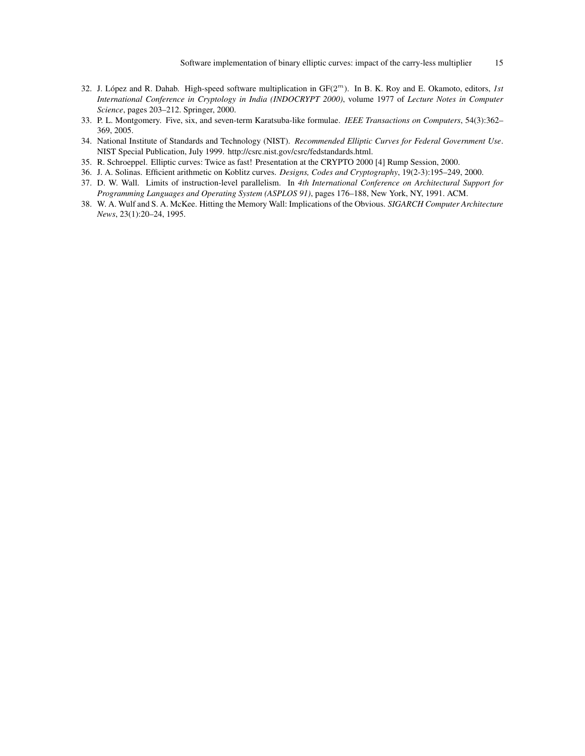- 32. J. López and R. Dahab. High-speed software multiplication in  $GF(2<sup>m</sup>)$ . In B. K. Roy and E. Okamoto, editors, *1st International Conference in Cryptology in India (INDOCRYPT 2000)*, volume 1977 of *Lecture Notes in Computer Science*, pages 203–212. Springer, 2000.
- 33. P. L. Montgomery. Five, six, and seven-term Karatsuba-like formulae. *IEEE Transactions on Computers*, 54(3):362– 369, 2005.
- 34. National Institute of Standards and Technology (NIST). *Recommended Elliptic Curves for Federal Government Use*. NIST Special Publication, July 1999. http://csrc.nist.gov/csrc/fedstandards.html.
- 35. R. Schroeppel. Elliptic curves: Twice as fast! Presentation at the CRYPTO 2000 [4] Rump Session, 2000.
- 36. J. A. Solinas. Efficient arithmetic on Koblitz curves. *Designs, Codes and Cryptography*, 19(2-3):195–249, 2000.
- 37. D. W. Wall. Limits of instruction-level parallelism. In *4th International Conference on Architectural Support for Programming Languages and Operating System (ASPLOS 91)*, pages 176–188, New York, NY, 1991. ACM.
- 38. W. A. Wulf and S. A. McKee. Hitting the Memory Wall: Implications of the Obvious. *SIGARCH Computer Architecture News*, 23(1):20–24, 1995.